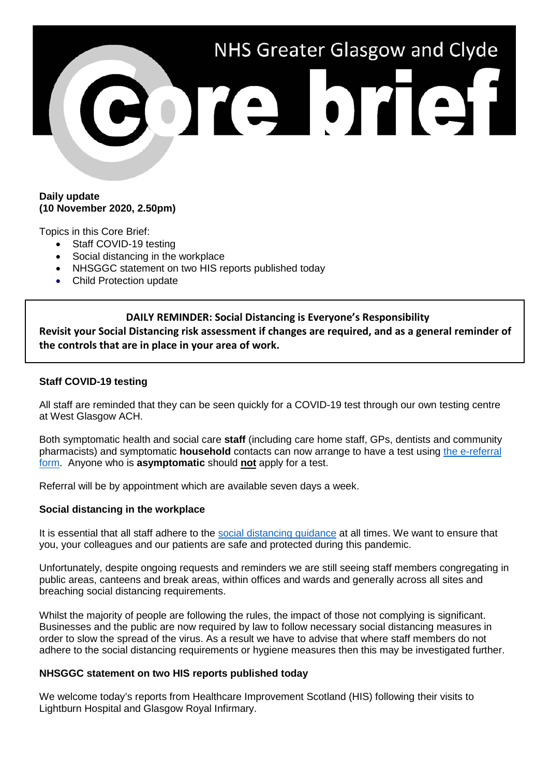

### **Daily update (10 November 2020, 2.50pm)**

Topics in this Core Brief:

- Staff COVID-19 testing
- Social distancing in the workplace
- NHSGGC statement on two HIS reports published today
- Child Protection update

# **DAILY REMINDER: Social Distancing is Everyone's Responsibility**

**Revisit your Social Distancing risk assessment if changes are required, and as a general reminder of the controls that are in place in your area of work.**

# **Staff COVID-19 testing**

All staff are reminded that they can be seen quickly for a COVID-19 test through our own testing centre at West Glasgow ACH.

Both symptomatic health and social care **staff** (including care home staff, GPs, dentists and community pharmacists) and symptomatic **household** contacts can now arrange to have a test using [the e-referral](https://forms.office.com/Pages/ResponsePage.aspx?id=veDvEDCgykuAnLXmdF5JmgW9YoY5w-BDlHK7ghonYUBURTJBTFE0UEFBN0I2ODU3S0lFNTJJUjYzTiQlQCN0PWcu)  [form.](https://forms.office.com/Pages/ResponsePage.aspx?id=veDvEDCgykuAnLXmdF5JmgW9YoY5w-BDlHK7ghonYUBURTJBTFE0UEFBN0I2ODU3S0lFNTJJUjYzTiQlQCN0PWcu) Anyone who is **asymptomatic** should **not** apply for a test.

Referral will be by appointment which are available seven days a week.

## **Social distancing in the workplace**

It is essential that all staff adhere to the [social distancing guidance](https://www.nhsggc.org.uk/your-health/health-issues/covid-19-coronavirus/for-nhsggc-staff/social-distancing-in-the-workplace/) at all times. We want to ensure that you, your colleagues and our patients are safe and protected during this pandemic.

Unfortunately, despite ongoing requests and reminders we are still seeing staff members congregating in public areas, canteens and break areas, within offices and wards and generally across all sites and breaching social distancing requirements.

Whilst the majority of people are following the rules, the impact of those not complying is significant. Businesses and the public are now required by law to follow necessary social distancing measures in order to slow the spread of the virus. As a result we have to advise that where staff members do not adhere to the social distancing requirements or hygiene measures then this may be investigated further.

## **NHSGGC statement on two HIS reports published today**

We welcome today's reports from Healthcare Improvement Scotland (HIS) following their visits to Lightburn Hospital and Glasgow Royal Infirmary.